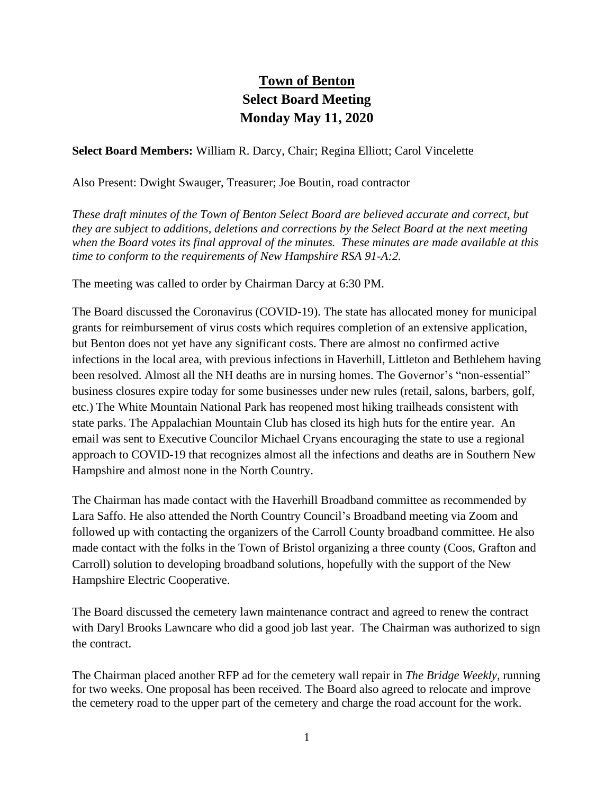## **Town of Benton Select Board Meeting Monday May 11, 2020**

**Select Board Members:** William R. Darcy, Chair; Regina Elliott; Carol Vincelette

Also Present: Dwight Swauger, Treasurer; Joe Boutin, road contractor

*These draft minutes of the Town of Benton Select Board are believed accurate and correct, but they are subject to additions, deletions and corrections by the Select Board at the next meeting when the Board votes its final approval of the minutes. These minutes are made available at this time to conform to the requirements of New Hampshire RSA 91-A:2.*

The meeting was called to order by Chairman Darcy at 6:30 PM.

The Board discussed the Coronavirus (COVID-19). The state has allocated money for municipal grants for reimbursement of virus costs which requires completion of an extensive application, but Benton does not yet have any significant costs. There are almost no confirmed active infections in the local area, with previous infections in Haverhill, Littleton and Bethlehem having been resolved. Almost all the NH deaths are in nursing homes. The Governor's "non-essential" business closures expire today for some businesses under new rules (retail, salons, barbers, golf, etc.) The White Mountain National Park has reopened most hiking trailheads consistent with state parks. The Appalachian Mountain Club has closed its high huts for the entire year. An email was sent to Executive Councilor Michael Cryans encouraging the state to use a regional approach to COVID-19 that recognizes almost all the infections and deaths are in Southern New Hampshire and almost none in the North Country.

The Chairman has made contact with the Haverhill Broadband committee as recommended by Lara Saffo. He also attended the North Country Council's Broadband meeting via Zoom and followed up with contacting the organizers of the Carroll County broadband committee. He also made contact with the folks in the Town of Bristol organizing a three county (Coos, Grafton and Carroll) solution to developing broadband solutions, hopefully with the support of the New Hampshire Electric Cooperative.

The Board discussed the cemetery lawn maintenance contract and agreed to renew the contract with Daryl Brooks Lawncare who did a good job last year. The Chairman was authorized to sign the contract.

The Chairman placed another RFP ad for the cemetery wall repair in *The Bridge Weekly*, running for two weeks. One proposal has been received. The Board also agreed to relocate and improve the cemetery road to the upper part of the cemetery and charge the road account for the work.